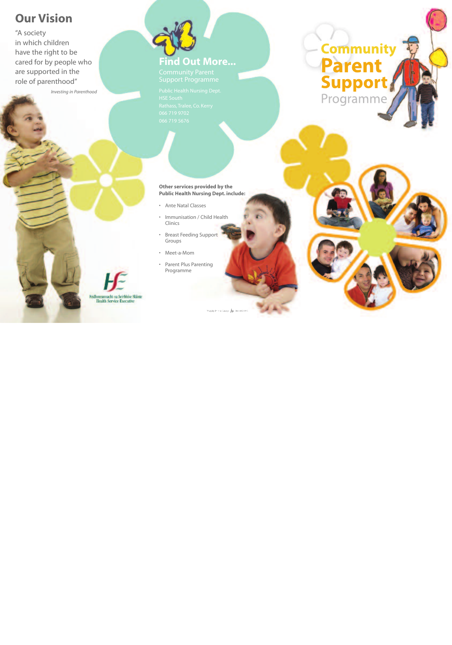# **Our Vision**

"A society in which children have the right to be cared for by people who are supported in the role of parenthood"

*Investing in Parenthood*



Support Programme

HSE South

**Other services provided by the Public Health Nursing Dept. include:**

- Ante Natal Classes
- Immunisation / Child Health Clinics
- Breast Feeding Support Groups
- Meet-a-Mom
- Parent Plus Parenting Programme



Ridhmeannacht na Seirbhise Skiint **Health Service Executive**